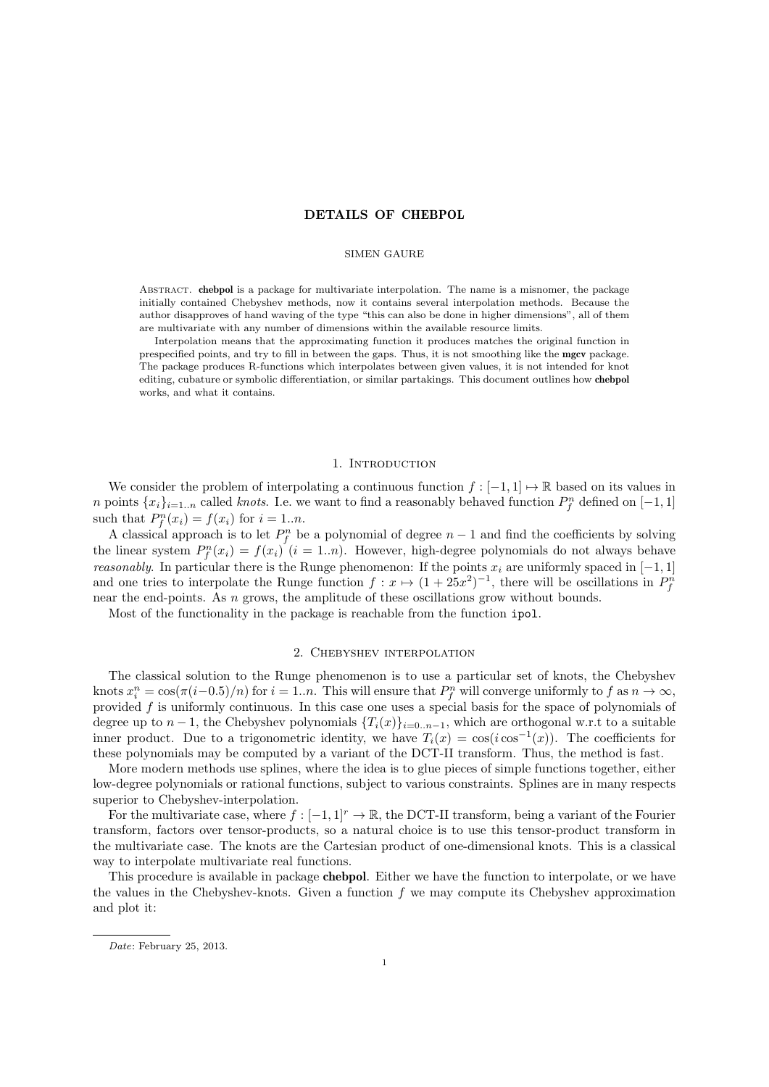# DETAILS OF CHEBPOL

### SIMEN GAURE

Abstract. chebpol is a package for multivariate interpolation. The name is a misnomer, the package initially contained Chebyshev methods, now it contains several interpolation methods. Because the author disapproves of hand waving of the type "this can also be done in higher dimensions", all of them are multivariate with any number of dimensions within the available resource limits.

Interpolation means that the approximating function it produces matches the original function in prespecified points, and try to fill in between the gaps. Thus, it is not smoothing like the mgcv package. The package produces R-functions which interpolates between given values, it is not intended for knot editing, cubature or symbolic differentiation, or similar partakings. This document outlines how chebpol works, and what it contains.

### 1. INTRODUCTION

We consider the problem of interpolating a continuous function  $f : [-1,1] \mapsto \mathbb{R}$  based on its values in n points  $\{x_i\}_{i=1...n}$  called *knots*. I.e. we want to find a reasonably behaved function  $P_f^n$  defined on  $[-1, 1]$ such that  $P_f^n(x_i) = f(x_i)$  for  $i = 1..n$ .

A classical approach is to let  $P_f^n$  be a polynomial of degree  $n-1$  and find the coefficients by solving the linear system  $P_f^n(x_i) = f(x_i)$  (i = 1.*n*). However, high-degree polynomials do not always behave reasonably. In particular there is the Runge phenomenon: If the points  $x_i$  are uniformly spaced in [−1, 1] and one tries to interpolate the Runge function  $f: x \mapsto (1+25x^2)^{-1}$ , there will be oscillations in  $P_f^n$ near the end-points. As  $n$  grows, the amplitude of these oscillations grow without bounds.

Most of the functionality in the package is reachable from the function ipol.

### 2. Chebyshev interpolation

The classical solution to the Runge phenomenon is to use a particular set of knots, the Chebyshev knots  $x_i^n = \cos(\pi(i-0.5)/n)$  for  $i = 1..n$ . This will ensure that  $P_f^n$  will converge uniformly to f as  $n \to \infty$ , provided  $f$  is uniformly continuous. In this case one uses a special basis for the space of polynomials of degree up to  $n-1$ , the Chebyshev polynomials  $\{T_i(x)\}_{i=0..n-1}$ , which are orthogonal w.r.t to a suitable inner product. Due to a trigonometric identity, we have  $T_i(x) = \cos(i \cos^{-1}(x))$ . The coefficients for these polynomials may be computed by a variant of the DCT-II transform. Thus, the method is fast.

More modern methods use splines, where the idea is to glue pieces of simple functions together, either low-degree polynomials or rational functions, subject to various constraints. Splines are in many respects superior to Chebyshev-interpolation.

For the multivariate case, where  $f : [-1, 1]^r \to \mathbb{R}$ , the DCT-II transform, being a variant of the Fourier transform, factors over tensor-products, so a natural choice is to use this tensor-product transform in the multivariate case. The knots are the Cartesian product of one-dimensional knots. This is a classical way to interpolate multivariate real functions.

This procedure is available in package chebpol. Either we have the function to interpolate, or we have the values in the Chebyshev-knots. Given a function  $f$  we may compute its Chebyshev approximation and plot it:

Date: February 25, 2013.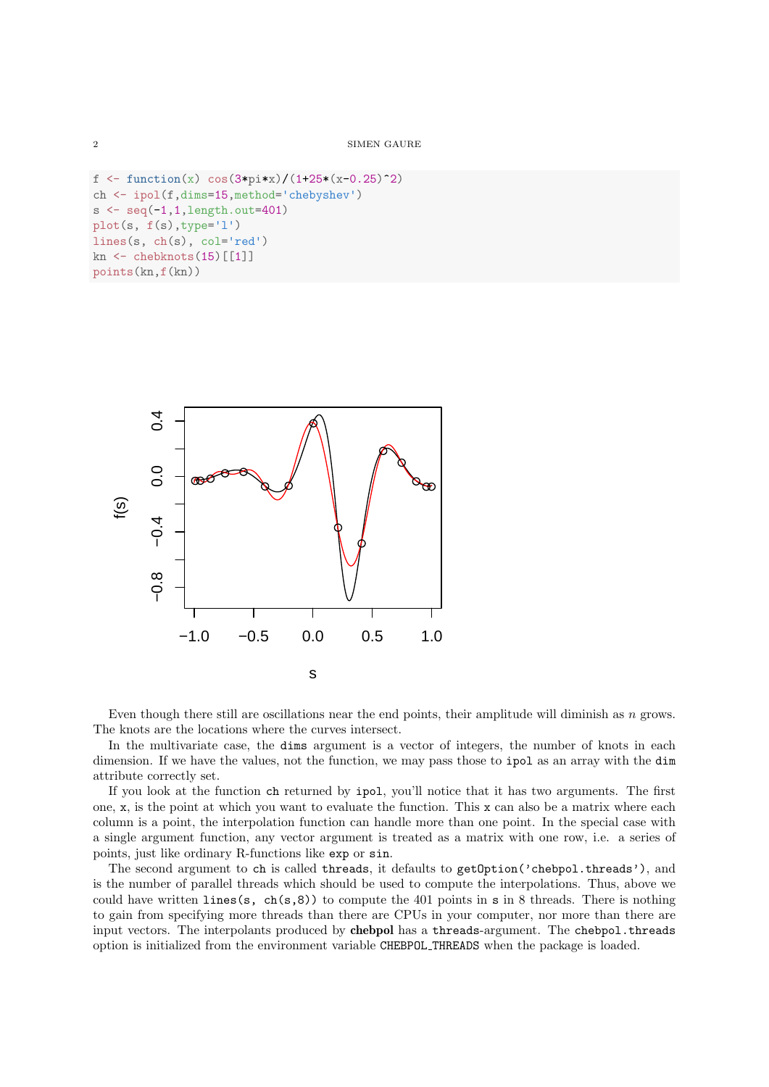```
f \leftarrow function(x) cos(3*pi*x)/(1+25*(x-0.25)^2)
ch <- ipol(f,dims=15,method='chebyshev')
s \leftarrow \text{seq}(-1, 1, \text{length}.\text{out=401})plot(s, f(s),type='l')
lines(s, ch(s), col='red')
kn \leq chebknots (15) [[1]]
points(kn,f(kn))
```


Even though there still are oscillations near the end points, their amplitude will diminish as n grows. The knots are the locations where the curves intersect.

In the multivariate case, the dims argument is a vector of integers, the number of knots in each dimension. If we have the values, not the function, we may pass those to ipol as an array with the dim attribute correctly set.

If you look at the function ch returned by ipol, you'll notice that it has two arguments. The first one, x, is the point at which you want to evaluate the function. This x can also be a matrix where each column is a point, the interpolation function can handle more than one point. In the special case with a single argument function, any vector argument is treated as a matrix with one row, i.e. a series of points, just like ordinary R-functions like exp or sin.

The second argument to ch is called threads, it defaults to getOption('chebpol.threads'), and is the number of parallel threads which should be used to compute the interpolations. Thus, above we could have written lines(s, ch(s,8)) to compute the 401 points in s in 8 threads. There is nothing to gain from specifying more threads than there are CPUs in your computer, nor more than there are input vectors. The interpolants produced by chebpol has a threads-argument. The chebpol.threads option is initialized from the environment variable CHEBPOL THREADS when the package is loaded.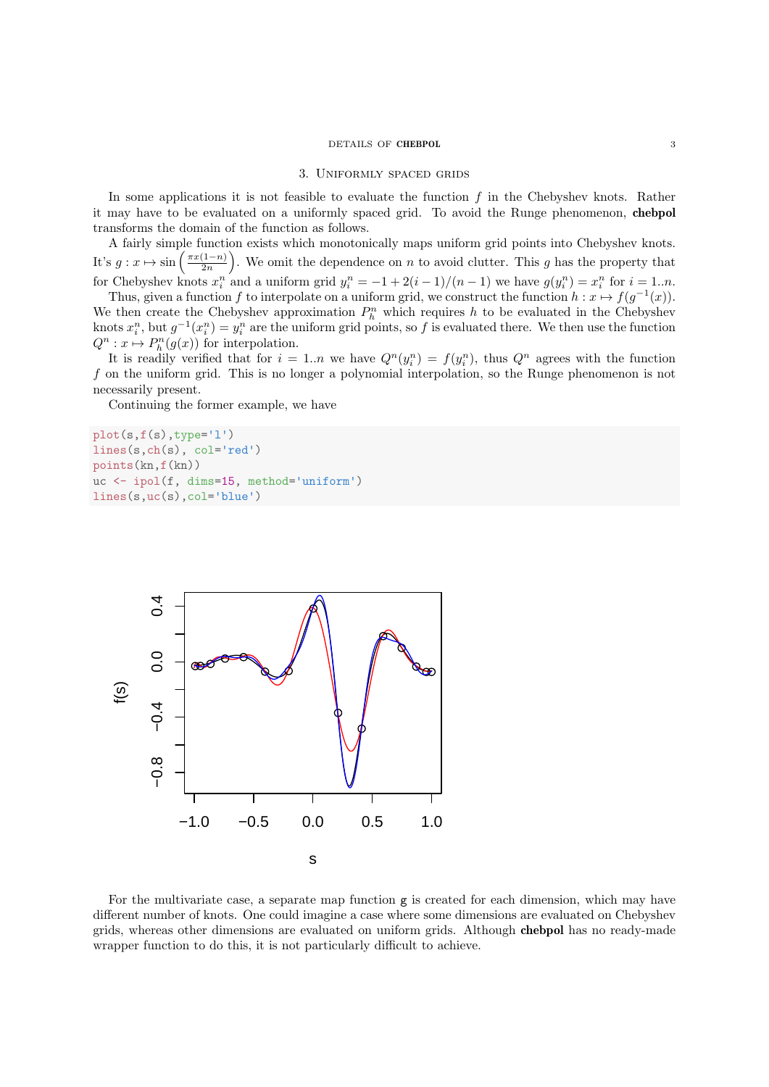# DETAILS OF **CHEBPOL** 3

#### 3. Uniformly spaced grids

In some applications it is not feasible to evaluate the function  $f$  in the Chebyshev knots. Rather it may have to be evaluated on a uniformly spaced grid. To avoid the Runge phenomenon, chebpol transforms the domain of the function as follows.

A fairly simple function exists which monotonically maps uniform grid points into Chebyshev knots. It's  $g: x \mapsto \sin\left(\frac{\pi x(1-n)}{2n}\right)$  $\left(\frac{(1-n)}{2n}\right)$ . We omit the dependence on n to avoid clutter. This g has the property that for Chebyshev knots  $x_i^n$  and a uniform grid  $y_i^n = -1 + 2(i - 1)/(n - 1)$  we have  $g(y_i^n) = x_i^n$  for  $i = 1..n$ .

Thus, given a function f to interpolate on a uniform grid, we construct the function  $h: x \mapsto f(g^{-1}(x))$ . We then create the Chebyshev approximation  $P_h^n$  which requires h to be evaluated in the Chebyshev knots  $x_i^n$ , but  $g^{-1}(x_i^n) = y_i^n$  are the uniform grid points, so f is evaluated there. We then use the function  $Q^n : x \mapsto P_h^n(g(x))$  for interpolation.

It is readily verified that for  $i = 1..n$  we have  $Q^n(y_i^n) = f(y_i^n)$ , thus  $Q^n$  agrees with the function f on the uniform grid. This is no longer a polynomial interpolation, so the Runge phenomenon is not necessarily present.

Continuing the former example, we have

```
plot(s,f(s),type='l')
lines(s,ch(s), col='red')
points(kn,f(kn))
uc <- ipol(f, dims=15, method='uniform')
lines(s,uc(s),col='blue')
```


For the multivariate case, a separate map function  $g$  is created for each dimension, which may have different number of knots. One could imagine a case where some dimensions are evaluated on Chebyshev grids, whereas other dimensions are evaluated on uniform grids. Although chebpol has no ready-made wrapper function to do this, it is not particularly difficult to achieve.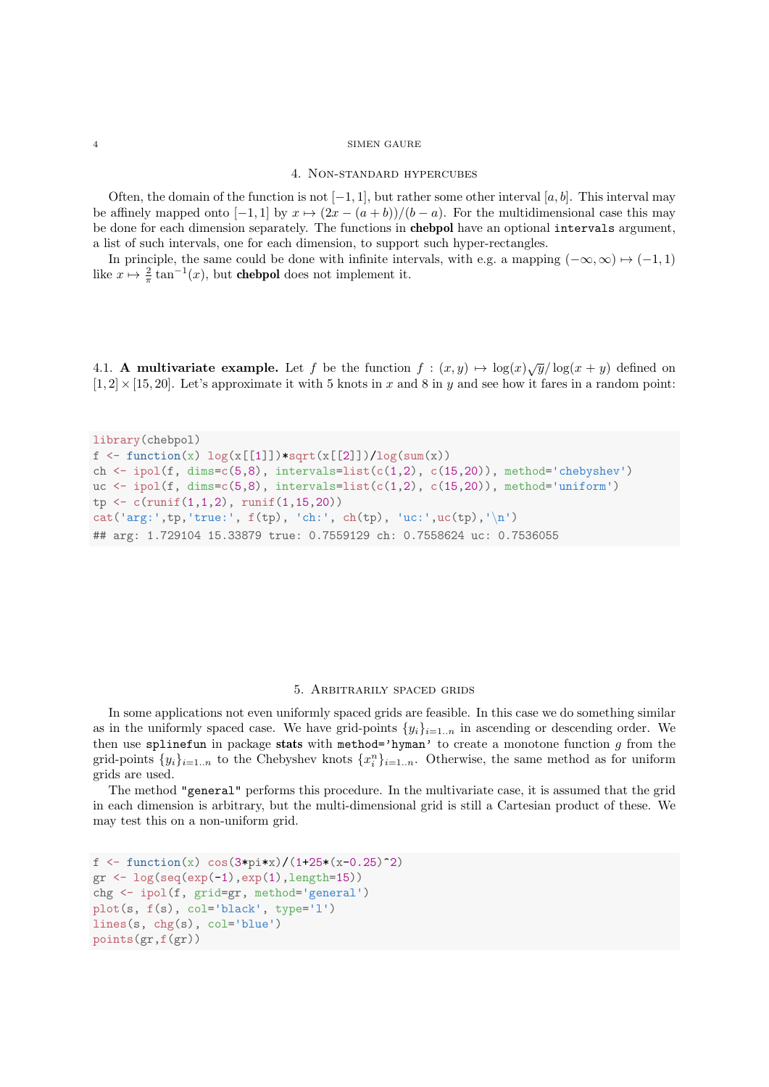#### 4 SIMEN GAURE

#### 4. Non-standard hypercubes

Often, the domain of the function is not  $[-1, 1]$ , but rather some other interval  $[a, b]$ . This interval may be affinely mapped onto  $[-1, 1]$  by  $x \mapsto (2x - (a + b))/(b - a)$ . For the multidimensional case this may be done for each dimension separately. The functions in chebpol have an optional intervals argument, a list of such intervals, one for each dimension, to support such hyper-rectangles.

In principle, the same could be done with infinite intervals, with e.g. a mapping  $(-\infty, \infty) \mapsto (-1, 1)$ like  $x \mapsto \frac{2}{\pi} \tan^{-1}(x)$ , but **chebpol** does not implement it.

4.1. **A multivariate example.** Let f be the function  $f : (x, y) \mapsto \log(x)\sqrt{y}/\log(x + y)$  defined on  $[1, 2] \times [15, 20]$ . Let's approximate it with 5 knots in x and 8 in y and see how it fares in a random point:

```
library(chebpol)
f \leftarrow function(x) \log(x[[1]]) * sqrt(x[[2]])/log(sum(x))ch \le ipol(f, dims=c(5,8), intervals=list(c(1,2), c(15,20)), method='chebyshev')
uc \leftarrow ipol(f, dims=c(5,8), intervals=list(c(1,2), c(15,20)), method='uniform')
tp \leftarrow c(runif(1,1,2), runif(1,15,20))cat('arg:',tp,'true:', f(tp), 'ch:', ch(tp), 'uc:',uc(tp),'\n')
## arg: 1.729104 15.33879 true: 0.7559129 ch: 0.7558624 uc: 0.7536055
```
# 5. Arbitrarily spaced grids

In some applications not even uniformly spaced grids are feasible. In this case we do something similar as in the uniformly spaced case. We have grid-points  $\{y_i\}_{i=1..n}$  in ascending or descending order. We then use splinefun in package stats with method='hyman' to create a monotone function  $g$  from the grid-points  $\{y_i\}_{i=1..n}$  to the Chebyshev knots  $\{x_i^n\}_{i=1..n}$ . Otherwise, the same method as for uniform grids are used.

The method "general" performs this procedure. In the multivariate case, it is assumed that the grid in each dimension is arbitrary, but the multi-dimensional grid is still a Cartesian product of these. We may test this on a non-uniform grid.

```
f \leq function(x) cos(3*pi*x)/(1+25*(x-0.25)^2)
gr \leftarrow \log(\text{seq}(\exp(-1), \exp(1), \text{length=15}))chg <- ipol(f, grid=gr, method='general')
plot(s, f(s), col='black', type='l')
lines(s, chg(s), col='blue')
points(gr,f(gr))
```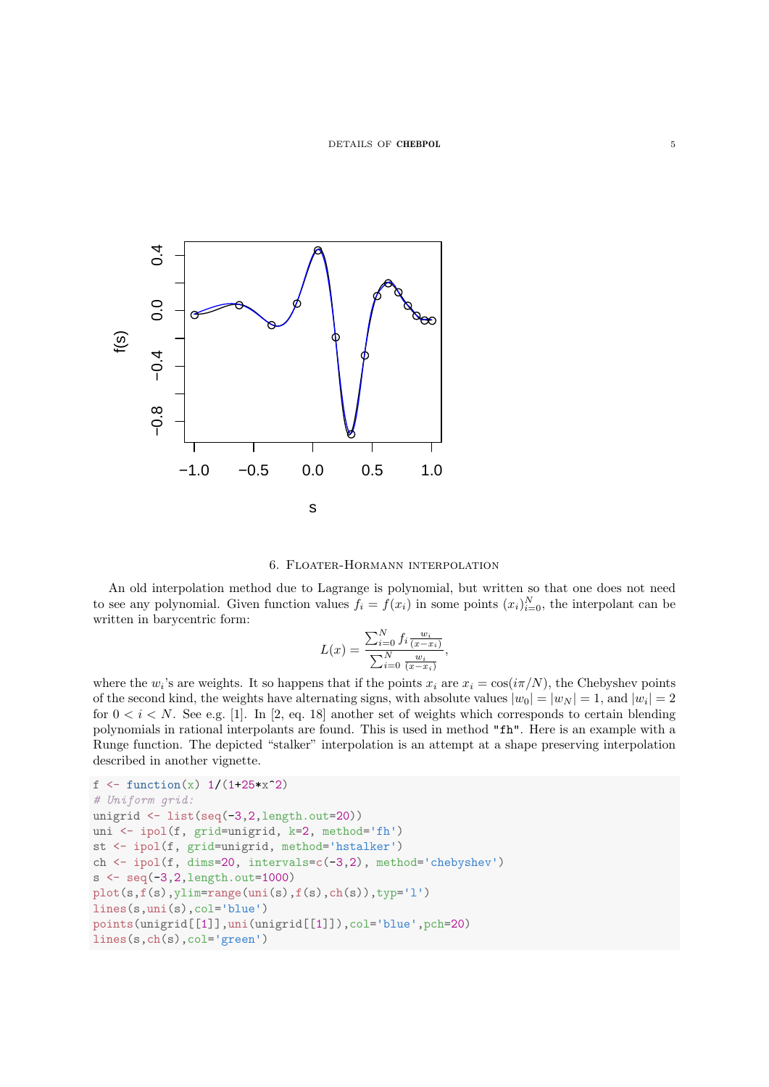



An old interpolation method due to Lagrange is polynomial, but written so that one does not need to see any polynomial. Given function values  $f_i = f(x_i)$  in some points  $(x_i)_{i=0}^N$ , the interpolant can be written in barycentric form:

$$
L(x) = \frac{\sum_{i=0}^{N} f_i \frac{w_i}{(x - x_i)}}{\sum_{i=0}^{N} \frac{w_i}{(x - x_i)}},
$$

where the  $w_i$ 's are weights. It so happens that if the points  $x_i$  are  $x_i = \cos(i\pi/N)$ , the Chebyshev points of the second kind, the weights have alternating signs, with absolute values  $|w_0| = |w_N| = 1$ , and  $|w_i| = 2$ for  $0 < i < N$ . See e.g. [1]. In [2, eq. 18] another set of weights which corresponds to certain blending polynomials in rational interpolants are found. This is used in method "fh". Here is an example with a Runge function. The depicted "stalker" interpolation is an attempt at a shape preserving interpolation described in another vignette.

```
f \leftarrow function(x) 1/(1+25*x^2)# Uniform grid:
unigrid <- list(seq(-3,2,length.out=20))
uni <- ipol(f, grid=unigrid, k=2, method='fh')
st <- ipol(f, grid=unigrid, method='hstalker')
ch <- ipol(f, dims=20, intervals=c(-3,2), method='chebyshev')
s <- seq(-3,2,length.out=1000)
plot(s,f(s),ylim=range(uni(s),f(s),ch(s)),typ='l')
lines(s,uni(s),col='blue')
points(unigrid[[1]],uni(unigrid[[1]]),col='blue',pch=20)
lines(s,ch(s),col='green')
```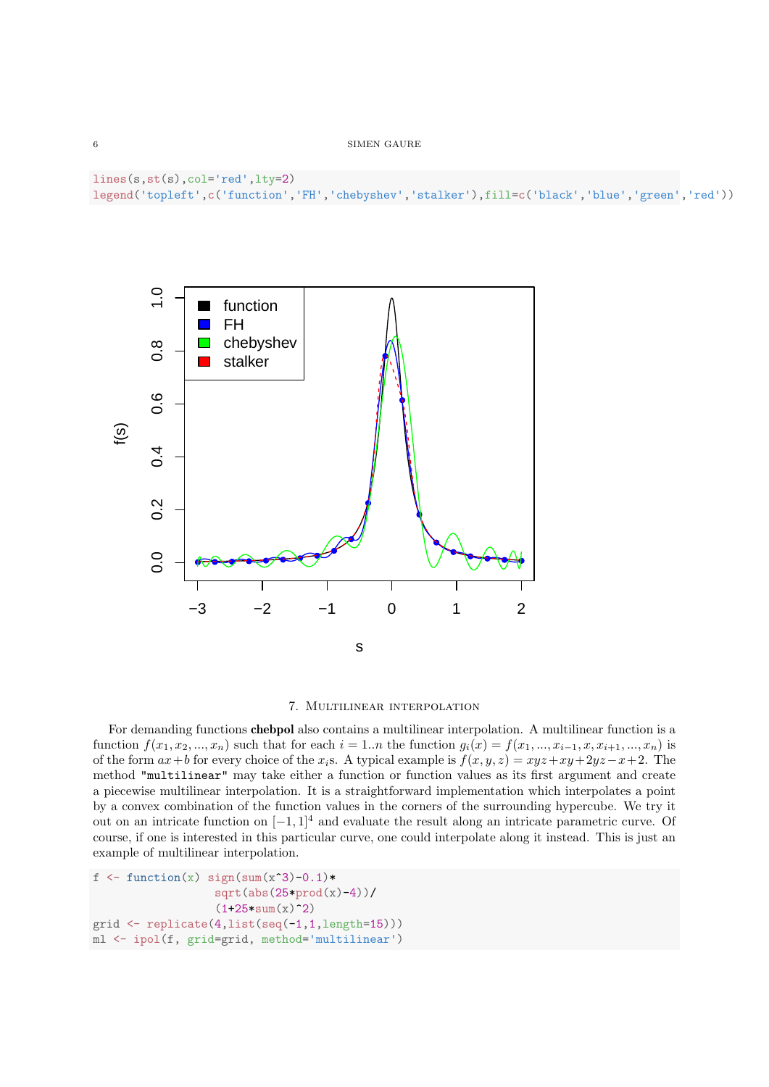```
lines(s,st(s),col='red',lty=2)
legend('topleft',c('function','FH','chebyshev','stalker'),fill=c('black','blue','green','red'))
```


# 7. Multilinear interpolation

For demanding functions chebpol also contains a multilinear interpolation. A multilinear function is a function  $f(x_1, x_2, ..., x_n)$  such that for each  $i = 1..n$  the function  $g_i(x) = f(x_1, ..., x_{i-1}, x, x_{i+1}, ..., x_n)$  is of the form  $ax+b$  for every choice of the  $x_i$ s. A typical example is  $f(x, y, z) = xyz+xy+2yz-x+2$ . The method "multilinear" may take either a function or function values as its first argument and create a piecewise multilinear interpolation. It is a straightforward implementation which interpolates a point by a convex combination of the function values in the corners of the surrounding hypercube. We try it out on an intricate function on  $[-1, 1]^4$  and evaluate the result along an intricate parametric curve. Of course, if one is interested in this particular curve, one could interpolate along it instead. This is just an example of multilinear interpolation.

```
f \leq function(x) sign(sum(x^3)-0.1)*
                   sqrt(\text{abs}(25*prod(x)-4))/(1+25*sum(x)^2)grid <- replicate(4,list(seq(-1,1,length=15)))
ml <- ipol(f, grid=grid, method='multilinear')
```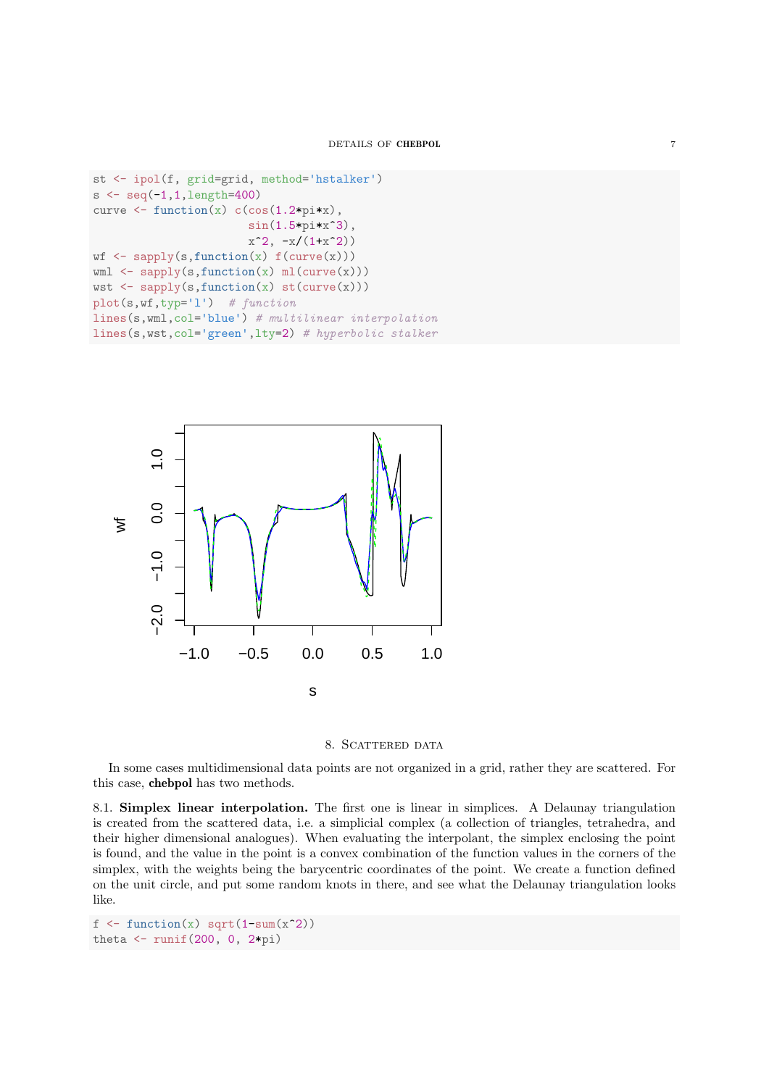```
st <- ipol(f, grid=grid, method='hstalker')
s < - seq(-1, 1,length=400)
curve \leq function(x) c(\cos(1.2*pi*x)),
                         sin(1.5*pi*x<sup>-3)</sup>,
                         x^2, -x/(1+x^2)wf \leftarrow sapply(s, function(x) f(curve(x)))wm1 \leftarrow sapply(s, function(x) m1(curve(x)))wst \leq sapply(s, function(x) st(curve(x)))
plot(s,wf,typ='l') # functionlines(s,wml,col='blue') # multilinear interpolation
lines(s,wst,col='green',lty=2) # hyperbolic stalker
```




In some cases multidimensional data points are not organized in a grid, rather they are scattered. For this case, chebpol has two methods.

8.1. Simplex linear interpolation. The first one is linear in simplices. A Delaunay triangulation is created from the scattered data, i.e. a simplicial complex (a collection of triangles, tetrahedra, and their higher dimensional analogues). When evaluating the interpolant, the simplex enclosing the point is found, and the value in the point is a convex combination of the function values in the corners of the simplex, with the weights being the barycentric coordinates of the point. We create a function defined on the unit circle, and put some random knots in there, and see what the Delaunay triangulation looks like.

```
f \leftarrow function(x) \sqrt{sqrt(1-sum(x^2))}theta \leftarrow runif(200, 0, 2*pi)
```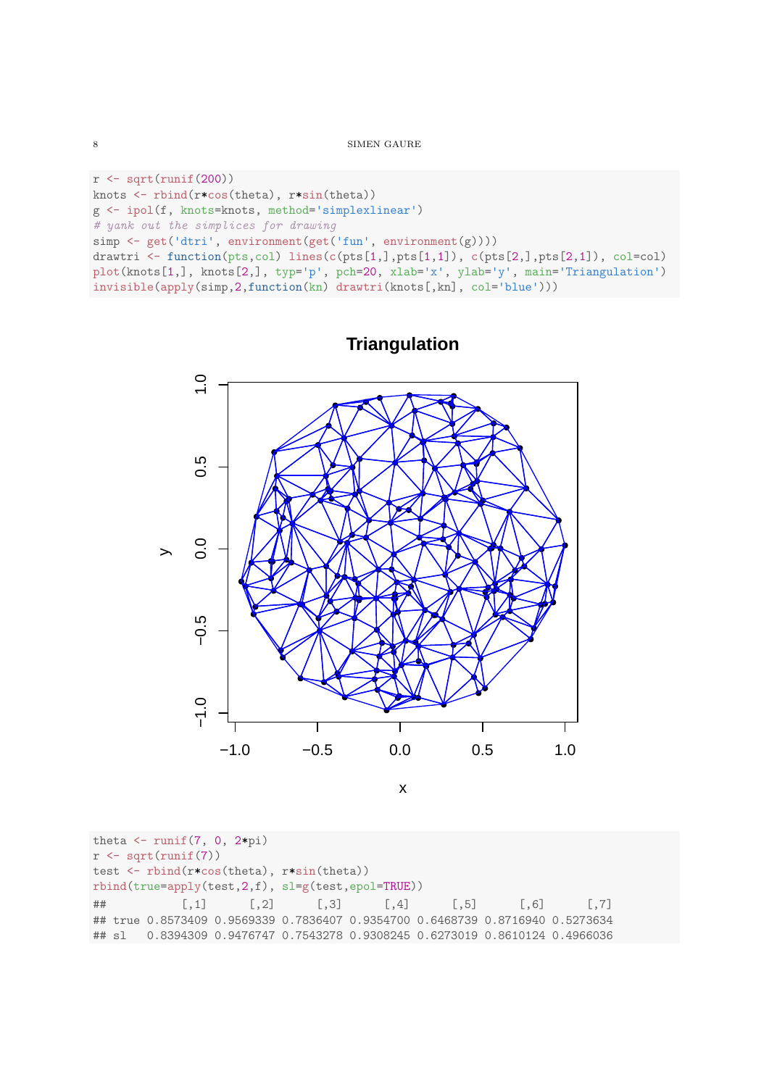```
8\, SIMEN GAURE
```

```
r \leftarrow \sqrt{\text{sqrt}(\text{runit}(200))}knots <- rbind(r*cos(theta), r*sin(theta))
g <- ipol(f, knots=knots, method='simplexlinear')
# yank out the simplices for drawing
simp <- get('dtri', environment(get('fun', environment(g))))
drawtri <- function(pts,col) lines(c(pts[1,],pts[1,1]), c(pts[2,],pts[2,1]), col=col)
plot(knots[1,], knots[2,], typ='p', pch=20, xlab='x', ylab='y', main='Triangulation')
invisible(apply(simp,2,function(kn) drawtri(knots[,kn], col='blue')))
```


**Triangulation**

theta  $\leftarrow$  runif(7, 0, 2\*pi)  $r \leftarrow sqrt(runif(7))$ test <- rbind(r\*cos(theta), r\*sin(theta)) rbind(true=apply(test,2,f), sl=g(test,epol=TRUE)) ## [,1] [,2] [,3] [,4] [,5] [,6] [,7] ## true 0.8573409 0.9569339 0.7836407 0.9354700 0.6468739 0.8716940 0.5273634 ## sl 0.8394309 0.9476747 0.7543278 0.9308245 0.6273019 0.8610124 0.4966036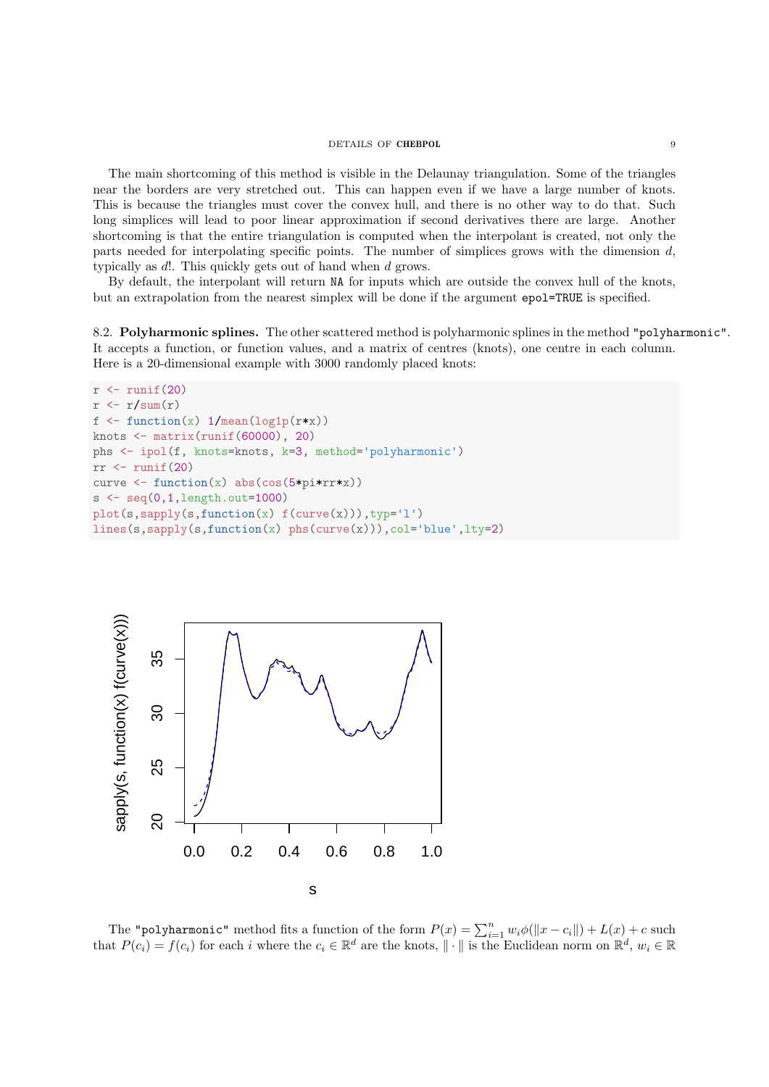# DETAILS OF **CHEBPOL** 9

The main shortcoming of this method is visible in the Delaunay triangulation. Some of the triangles near the borders are very stretched out. This can happen even if we have a large number of knots. This is because the triangles must cover the convex hull, and there is no other way to do that. Such long simplices will lead to poor linear approximation if second derivatives there are large. Another shortcoming is that the entire triangulation is computed when the interpolant is created, not only the parts needed for interpolating specific points. The number of simplices grows with the dimension  $d$ , typically as d!. This quickly gets out of hand when d grows.

By default, the interpolant will return NA for inputs which are outside the convex hull of the knots, but an extrapolation from the nearest simplex will be done if the argument epol=TRUE is specified.

8.2. Polyharmonic splines. The other scattered method is polyharmonic splines in the method "polyharmonic". It accepts a function, or function values, and a matrix of centres (knots), one centre in each column. Here is a 20-dimensional example with 3000 randomly placed knots:

```
r \leftarrow \text{runif}(20)r \leftarrow r/\text{sum}(r)f \leq function(x) 1/mean(log1p(r*x))
knots \leftarrow matrix(runif(60000), 20)
phs <- ipol(f, knots=knots, k=3, method='polyharmonic')
rr \leftarrow runif(20)curve \leftarrow function(x) abs(cos(5*pi*rr*x))
s < -seq(0, 1, \text{length.out}=1000)plot(s, sapply(s, function(x) f(curve(x))), type='l')lines(s,sapply(s,function(x) phs(curve(x))),col='blue',lty=2)
```


The "polyharmonic" method fits a function of the form  $P(x) = \sum_{i=1}^{n} w_i \phi(||x - c_i||) + L(x) + c$  such that  $P(c_i) = f(c_i)$  for each i where the  $c_i \in \mathbb{R}^d$  are the knots,  $\|\cdot\|$  is the Euclidean norm on  $\mathbb{R}^d$ ,  $w_i \in \mathbb{R}$